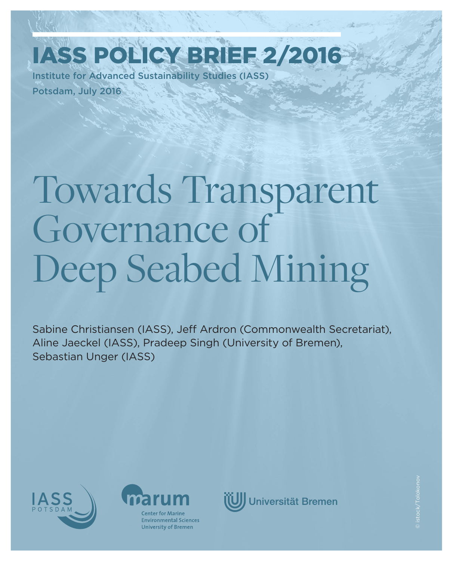Institute for Advanced Sustainability Studies (IASS) Potsdam, July 2016 IASS Policy Brief 2/2016

# Towards Transparent Governance of Deep Seabed Mining

Sabine Christiansen (IASS), Jeff Ardron (Commonwealth Secretariat), Aline Jaeckel (IASS), Pradeep Singh (University of Bremen), Sebastian Unger (IASS)





**Environmental Sciences University of Bremen** 

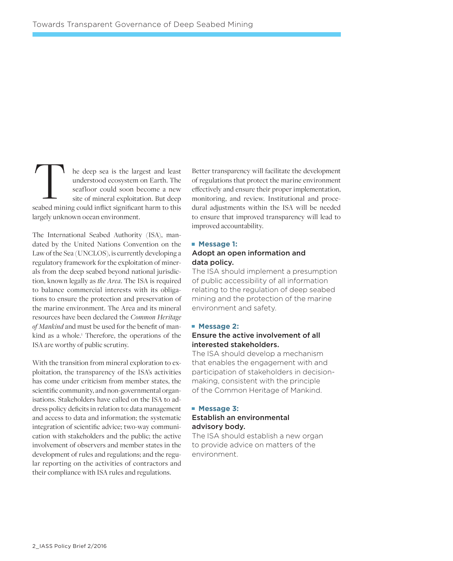he deep sea is the largest and least understood ecosystem on Earth. The seafloor could soon become a new site of mineral exploitation. But deep seabed mining could inflict significant harm to this seabed mining could inflict significant harm to this largely unknown ocean environment.

The International Seabed Authority (ISA), mandated by the United Nations Convention on the Law of the Sea (UNCLOS), is currently developing a regulatory framework for the exploitation of minerals from the deep seabed beyond national jurisdiction, known legally as *the Area*. The ISA is required to balance commercial interests with its obligations to ensure the protection and preservation of the marine environment. The Area and its mineral resources have been declared the *Common Heritage of Mankind* and must be used for the benefit of mankind as a whole.<sup>1</sup> Therefore, the operations of the ISA are worthy of public scrutiny.

With the transition from mineral exploration to exploitation, the transparency of the ISA's activities has come under criticism from member states, the scientific community, and non-governmental organisations. Stakeholders have called on the ISA to address policy deficits in relation to: data management and access to data and information; the systematic integration of scientific advice; two-way communication with stakeholders and the public; the active involvement of observers and member states in the development of rules and regulations; and the regular reporting on the activities of contractors and their compliance with ISA rules and regulations.

Better transparency will facilitate the development of regulations that protect the marine environment effectively and ensure their proper implementation, monitoring, and review. Institutional and procedural adjustments within the ISA will be needed to ensure that improved transparency will lead to improved accountability.

#### **Message 1:**

### Adopt an open information and data policy.

The ISA should implement a presumption of public accessibility of all information relating to the regulation of deep seabed mining and the protection of the marine environment and safety.

#### **Message 2:**

### Ensure the active involvement of all interested stakeholders.

The ISA should develop a mechanism that enables the engagement with and participation of stakeholders in decisionmaking, consistent with the principle of the Common Heritage of Mankind.

#### **Message 3:**

### Establish an environmental advisory body.

The ISA should establish a new organ to provide advice on matters of the environment.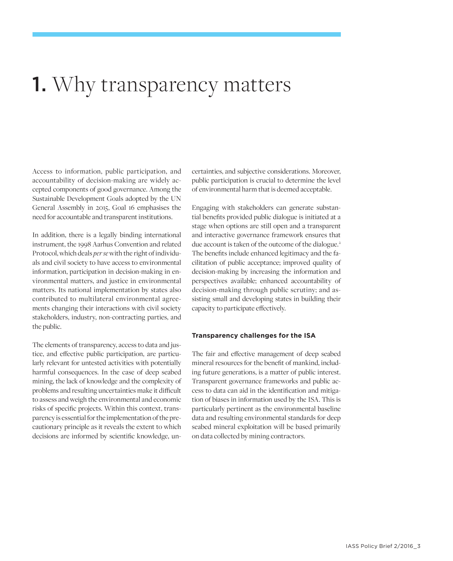## **1.** Why transparency matters

Access to information, public participation, and accountability of decision-making are widely accepted components of good governance. Among the Sustainable Development Goals adopted by the UN General Assembly in 2015, Goal 16 emphasises the need for accountable and transparent institutions.

In addition, there is a legally binding international instrument, the 1998 Aarhus Convention and related Protocol, which deals *per se* with the right of individuals and civil society to have access to environmental information, participation in decision-making in environmental matters, and justice in environmental matters. Its national implementation by states also contributed to multilateral environmental agreements changing their interactions with civil society stakeholders, industry, non-contracting parties, and the public.

The elements of transparency, access to data and justice, and effective public participation, are particularly relevant for untested activities with potentially harmful consequences. In the case of deep seabed mining, the lack of knowledge and the complexity of problems and resulting uncertainties make it difficult to assess and weigh the environmental and economic risks of specific projects. Within this context, transparency is essential for the implementation of the precautionary principle as it reveals the extent to which decisions are informed by scientific knowledge, uncertainties, and subjective considerations. Moreover, public participation is crucial to determine the level of environmental harm that is deemed acceptable.

Engaging with stakeholders can generate substantial benefits provided public dialogue is initiated at a stage when options are still open and a transparent and interactive governance framework ensures that due account is taken of the outcome of the dialogue.<sup>2</sup> The benefits include enhanced legitimacy and the facilitation of public acceptance; improved quality of decision-making by increasing the information and perspectives available; enhanced accountability of decision-making through public scrutiny; and assisting small and developing states in building their capacity to participate effectively.

#### **Transparency challenges for the ISA**

The fair and effective management of deep seabed mineral resources for the benefit of mankind, including future generations, is a matter of public interest. Transparent governance frameworks and public access to data can aid in the identification and mitigation of biases in information used by the ISA. This is particularly pertinent as the environmental baseline data and resulting environmental standards for deep seabed mineral exploitation will be based primarily on data collected by mining contractors.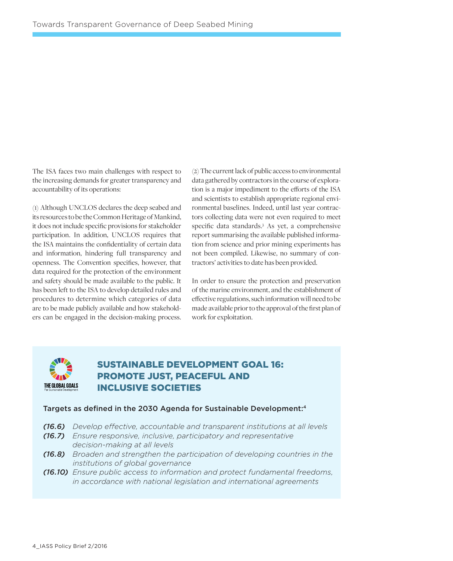The ISA faces two main challenges with respect to the increasing demands for greater transparency and accountability of its operations:

(1) Although UNCLOS declares the deep seabed and its resources to be the Common Heritage of Mankind, it does not include specific provisions for stakeholder participation. In addition, UNCLOS requires that the ISA maintains the confidentiality of certain data and information, hindering full transparency and openness. The Convention specifies, however, that data required for the protection of the environment and safety should be made available to the public. It has been left to the ISA to develop detailed rules and procedures to determine which categories of data are to be made publicly available and how stakeholders can be engaged in the decision-making process.

(2) The current lack of public access to environmental data gathered by contractors in the course of exploration is a major impediment to the efforts of the ISA and scientists to establish appropriate regional environmental baselines. Indeed, until last year contractors collecting data were not even required to meet specific data standards.3 As yet, a comprehensive report summarising the available published information from science and prior mining experiments has not been compiled. Likewise, no summary of contractors' activities to date has been provided.

In order to ensure the protection and preservation of the marine environment, and the establishment of effective regulations, such information will need to be made available prior to the approval of the first plan of work for exploitation.



### Sustainable Development Goal 16: Promote just, peaceful and inclusive societies

### Targets as defined in the 2030 Agenda for Sustainable Development:4

- *(16.6) Develop effective, accountable and transparent institutions at all levels*
- *(16.7) Ensure responsive, inclusive, participatory and representative decision-making at all levels*
- *(16.8) Broaden and strengthen the participation of developing countries in the institutions of global governance*
- *(16.10) Ensure public access to information and protect fundamental freedoms, in accordance with national legislation and international agreements*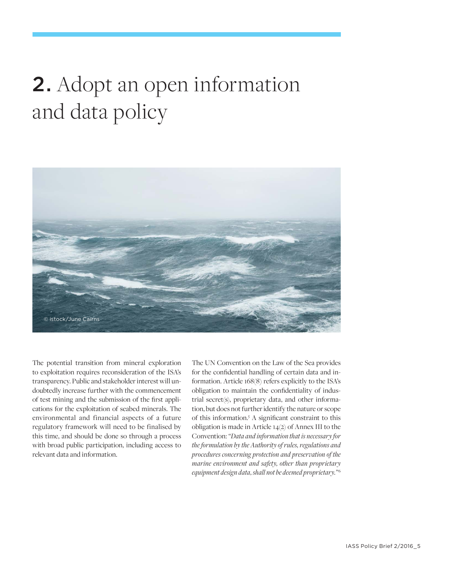# 2. Adopt an open information and data policy



The potential transition from mineral exploration to exploitation requires reconsideration of the ISA's transparency. Public and stakeholder interest will undoubtedly increase further with the commencement of test mining and the submission of the first applications for the exploitation of seabed minerals. The environmental and financial aspects of a future regulatory framework will need to be finalised by this time, and should be done so through a process with broad public participation, including access to relevant data and information.

The UN Convention on the Law of the Sea provides for the confidential handling of certain data and information. Article 168(8) refers explicitly to the ISA's obligation to maintain the confidentiality of industrial secret(s), proprietary data, and other information, but does not further identify the nature or scope of this information.5 A significant constraint to this obligation is made in Article 14(2) of Annex III to the Convention: *"Data and information that is necessary for the formulation by the Authority of rules, regulations and procedures concerning protection and preservation of the marine environment and safety, other than proprietary equipment design data, shall not be deemed proprietary."*<sup>6</sup>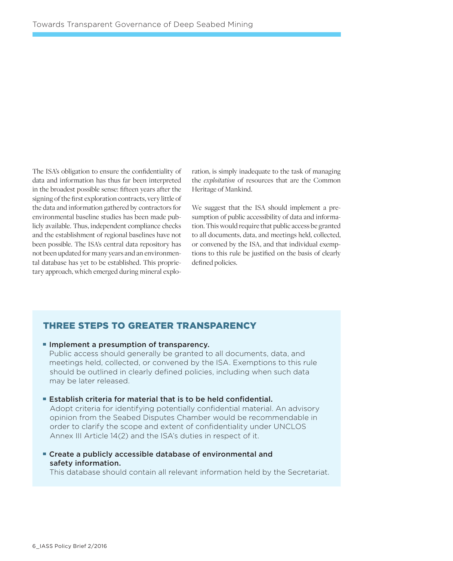The ISA's obligation to ensure the confidentiality of data and information has thus far been interpreted in the broadest possible sense: fifteen years after the signing of the first exploration contracts, very little of the data and information gathered by contractors for environmental baseline studies has been made publicly available. Thus, independent compliance checks and the establishment of regional baselines have not been possible. The ISA's central data repository has not been updated for many years and an environmental database has yet to be established. This proprietary approach, which emerged during mineral exploration, is simply inadequate to the task of managing the *exploitation* of resources that are the Common Heritage of Mankind.

We suggest that the ISA should implement a presumption of public accessibility of data and information. This would require that public access be granted to all documents, data, and meetings held, collected, or convened by the ISA, and that individual exemptions to this rule be justified on the basis of clearly defined policies.

### Three steps to greater transparency

### **Implement a presumption of transparency.**

 Public access should generally be granted to all documents, data, and meetings held, collected, or convened by the ISA. Exemptions to this rule should be outlined in clearly defined policies, including when such data may be later released.

Establish criteria for material that is to be held confidential.

 Adopt criteria for identifying potentially confidential material. An advisory opinion from the Seabed Disputes Chamber would be recommendable in order to clarify the scope and extent of confidentiality under UNCLOS Annex III Article 14(2) and the ISA's duties in respect of it.

Create a publicly accessible database of environmental and safety information.

This database should contain all relevant information held by the Secretariat.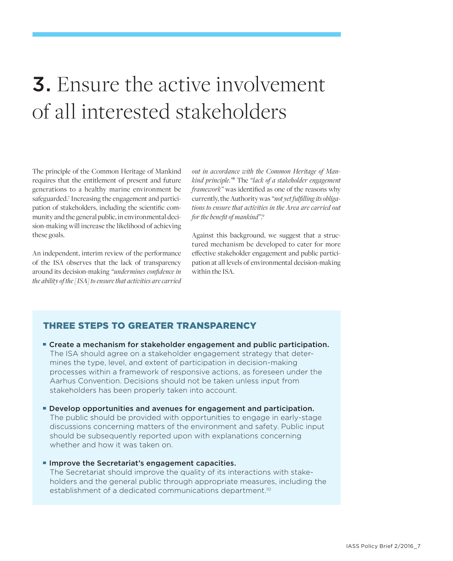# 3. Ensure the active involvement of all interested stakeholders

The principle of the Common Heritage of Mankind requires that the entitlement of present and future generations to a healthy marine environment be safeguarded.7 Increasing the engagement and participation of stakeholders, including the scientific community and the general public, in environmental decision-making will increase the likelihood of achieving these goals.

An independent, interim review of the performance of the ISA observes that the lack of transparency around its decision-making *"undermines confidence in the ability of the [ISA] to ensure that activities are carried* 

*out in accordance with the Common Heritage of Mankind principle."*<sup>8</sup> The *"lack of a stakeholder engagement framework"* was identified as one of the reasons why currently, the Authority was *"not yet fulfilling its obligations to ensure that activities in the Area are carried out for the benefit of mankind"*. 9

Against this background, we suggest that a structured mechanism be developed to cater for more effective stakeholder engagement and public participation at all levels of environmental decision-making within the ISA.

### Three steps to greater transparency

- Create a mechanism for stakeholder engagement and public participation. The ISA should agree on a stakeholder engagement strategy that deter mines the type, level, and extent of participation in decision-making processes within a framework of responsive actions, as foreseen under the Aarhus Convention. Decisions should not be taken unless input from stakeholders has been properly taken into account.
- **Develop opportunities and avenues for engagement and participation.**  The public should be provided with opportunities to engage in early-stage discussions concerning matters of the environment and safety. Public input should be subsequently reported upon with explanations concerning whether and how it was taken on.
- Improve the Secretariat's engagement capacities.

 The Secretariat should improve the quality of its interactions with stake holders and the general public through appropriate measures, including the establishment of a dedicated communications department.<sup>10</sup>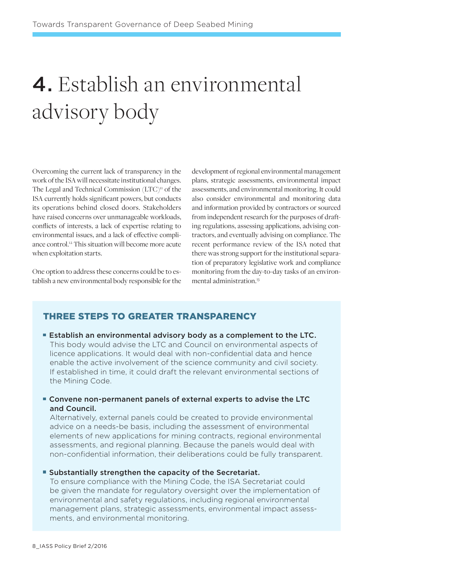# 4. Establish an environmental advisory body

Overcoming the current lack of transparency in the work of the ISA will necessitate institutional changes. The Legal and Technical Commission (LTC)<sup>11</sup> of the ISA currently holds significant powers, but conducts its operations behind closed doors. Stakeholders have raised concerns over unmanageable workloads, conflicts of interests, a lack of expertise relating to environmental issues, and a lack of effective compliance control.12 This situation will become more acute when exploitation starts.

One option to address these concerns could be to establish a new environmental body responsible for the development of regional environmental management plans, strategic assessments, environmental impact assessments, and environmental monitoring. It could also consider environmental and monitoring data and information provided by contractors or sourced from independent research for the purposes of drafting regulations, assessing applications, advising contractors, and eventually advising on compliance. The recent performance review of the ISA noted that there was strong support for the institutional separation of preparatory legislative work and compliance monitoring from the day-to-day tasks of an environmental administration.13

### Three steps to greater transparency

**Establish an environmental advisory body as a complement to the LTC.**  This body would advise the LTC and Council on environmental aspects of licence applications. It would deal with non-confidential data and hence enable the active involvement of the science community and civil society. If established in time, it could draft the relevant environmental sections of the Mining Code.

### Convene non-permanent panels of external experts to advise the LTC and Council.

 Alternatively, external panels could be created to provide environmental advice on a needs-be basis, including the assessment of environmental elements of new applications for mining contracts, regional environmental assessments, and regional planning. Because the panels would deal with non-confidential information, their deliberations could be fully transparent.

### Substantially strengthen the capacity of the Secretariat.

 To ensure compliance with the Mining Code, the ISA Secretariat could be given the mandate for regulatory oversight over the implementation of environmental and safety regulations, including regional environmental management plans, strategic assessments, environmental impact assess ments, and environmental monitoring.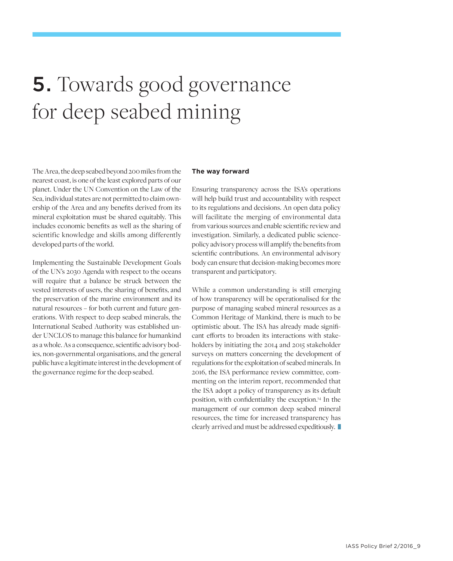# 5. Towards good governance for deep seabed mining

The Area, the deep seabed beyond 200 miles from the nearest coast, is one of the least explored parts of our planet. Under the UN Convention on the Law of the Sea, individual states are not permitted to claim ownership of the Area and any benefits derived from its mineral exploitation must be shared equitably. This includes economic benefits as well as the sharing of scientific knowledge and skills among differently developed parts of the world.

Implementing the Sustainable Development Goals of the UN's 2030 Agenda with respect to the oceans will require that a balance be struck between the vested interests of users, the sharing of benefits, and the preservation of the marine environment and its natural resources – for both current and future generations. With respect to deep seabed minerals, the International Seabed Authority was established under UNCLOS to manage this balance for humankind as a whole. As a consequence, scientific advisory bodies, non-governmental organisations, and the general public have a legitimate interest in the development of the governance regime for the deep seabed.

#### **The way forward**

Ensuring transparency across the ISA's operations will help build trust and accountability with respect to its regulations and decisions. An open data policy will facilitate the merging of environmental data from various sources and enable scientific review and investigation. Similarly, a dedicated public sciencepolicy advisory process will amplify the benefits from scientific contributions. An environmental advisory body can ensure that decision-making becomes more transparent and participatory.

While a common understanding is still emerging of how transparency will be operationalised for the purpose of managing seabed mineral resources as a Common Heritage of Mankind, there is much to be optimistic about. The ISA has already made significant efforts to broaden its interactions with stakeholders by initiating the 2014 and 2015 stakeholder surveys on matters concerning the development of regulations for the exploitation of seabed minerals. In 2016, the ISA performance review committee, commenting on the interim report, recommended that the ISA adopt a policy of transparency as its default position, with confidentiality the exception.14 In the management of our common deep seabed mineral resources, the time for increased transparency has clearly arrived and must be addressed expeditiously.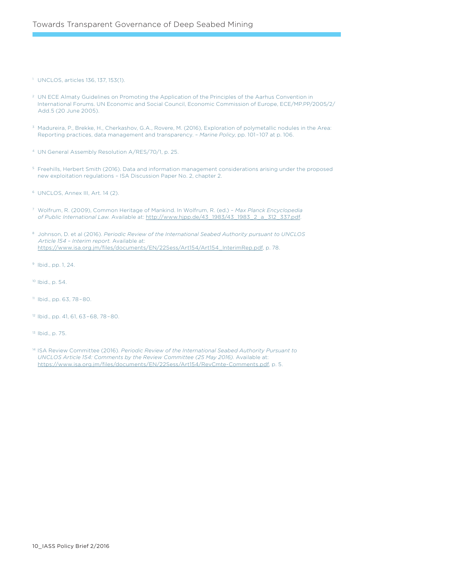1 UNCLOS, articles 136, 137, 153(1).

- 2 UN ECE Almaty Guidelines on Promoting the Application of the Principles of the Aarhus Convention in International Forums. UN Economic and Social Council, Economic Commission of Europe, ECE/MP.PP/2005/2/ Add.5 (20 June 2005).
- 3 Madureira, P., Brekke, H., Cherkashov, G.A., Rovere, M. (2016), Exploration of polymetallic nodules in the Area: Reporting practices, data management and transparency. – *Marine Policy*, pp. 101–107 at p. 106.
- 4 UN General Assembly Resolution A/RES/70/1, p. 25.
- 5 Freehills, Herbert Smith (2016). Data and information management considerations arising under the proposed new exploitation regulations – ISA Discussion Paper No. 2, chapter 2.
- 6 UNCLOS, Annex III, Art. 14 (2).
- 7 Wolfrum, R. (2009), Common Heritage of Mankind. In Wolfrum, R. (ed.) *Max Planck Encyclopedia of Public International Law.* Available at: [http://www.hjpp.de/43\\_1983/43\\_1983\\_2\\_a\\_312\\_337.pdf.](http://www.hjpp.de/43_1983/43_1983_2_a_312_337.pdf)
- 8 Johnson, D. et al (2016). *Periodic Review of the International Seabed Authority pursuant to UNCLOS Article 154 – Interim report.* Available at: [https://www.isa.org.jm/files/documents/EN/22Sess/Art154/Art154\\_InterimRep.pdf,](https://www.isa.org.jm/files/documents/EN/22Sess/Art154/Art154_InterimRep.pdf) p. 78.
- 9 Ibid., pp. 1, 24.
- 10 Ibid., p. 54.
- 11 Ibid., pp. 63, 78–80.
- 12 Ibid., pp. 41, 61, 63–68, 78–80.
- 13 Ibid., p. 75.
- 14 ISA Review Committee (2016). *Periodic Review of the International Seabed Authority Pursuant to UNCLOS Article 154: Comments by the Review Committee (25 May 2016).* Available at: [https://www.isa.org.jm/files/documents/EN/22Sess/Art154/RevCmte-Comments.pdf,](https://www.isa.org.jm/files/documents/EN/22Sess/Art154/RevCmte-Comments.pdf) p. 5.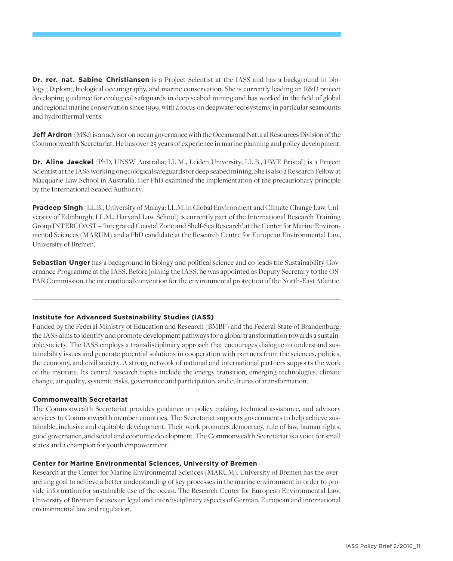**Dr. rer. nat. Sabine Christiansen** is a Project Scientist at the IASS and has a background in biology (Diplom), biological oceanography, and marine conservation. She is currently leading an R&D project developing guidance for ecological safeguards in deep seabed mining and has worked in the field of global and regional marine conservation since 1999, with a focus on deepwater ecosystems, in particular seamounts and hydrothermal vents.

**Jeff Ardron** (MSc) is an advisor on ocean governance with the Oceans and Natural Resources Division of the Commonwealth Secretariat. He has over 25 years of experience in marine planning and policy development.

**Dr. Aline Jaeckel** (PhD, UNSW Australia; LL.M., Leiden University; LL.B., UWE Bristol) is a Project Scientist at the IASS working on ecological safeguards for deep seabed mining. She is also a Research Fellow at Macquarie Law School in Australia. Her PhD examined the implementation of the precautionary principle by the International Seabed Authority.

**Pradeep Singh** (LL.B., University of Malaya; LL.M. in Global Environment and Climate Change Law, University of Edinburgh; LL.M., Harvard Law School) is currently part of the International Research Training Group INTERCOAST – 'Integrated Coastal Zone and Shelf-Sea Research' at the Center for Marine Environmental Sciences (MARUM) and a PhD candidate at the Research Centre for European Environmental Law, University of Bremen.

**Sebastian Unger** has a background in biology and political science and co-leads the Sustainability Governance Programme at the IASS. Before joining the IASS, he was appointed as Deputy Secretary to the OS-PAR Commission, the international convention for the environmental protection of the North-East Atlantic.

### **Institute for Advanced Sustainability Studies (IASS)**

Funded by the Federal Ministry of Education and Research (BMBF) and the Federal State of Brandenburg, the IASS aims to identify and promote development pathways for a global transformation towards a sustainable society. The IASS employs a transdisciplinary approach that encourages dialogue to understand sustainability issues and generate potential solutions in cooperation with partners from the sciences, politics, the economy, and civil society. A strong network of national and international partners supports the work of the institute. Its central research topics include the energy transition, emerging technologies, climate change, air quality, systemic risks, governance and participation, and cultures of transformation.

### **Commonwealth Secretariat**

The Commonwealth Secretariat provides guidance on policy making, technical assistance, and advisory services to Commonwealth member countries. The Secretariat supports governments to help achieve sustainable, inclusive and equitable development. Their work promotes democracy, rule of law, human rights, good governance, and social and economic development. The Commonwealth Secretariat is a voice for small states and a champion for youth empowerment.

### **Center for Marine Environmental Sciences, University of Bremen**

Research at the Center for Marine Environmental Sciences (MARUM), University of Bremen has the overarching goal to achieve a better understanding of key processes in the marine environment in order to provide information for sustainable use of the ocean. The Research Center for European Environmental Law, University of Bremen focuses on legal and interdisciplinary aspects of German, European and international environmental law and regulation.